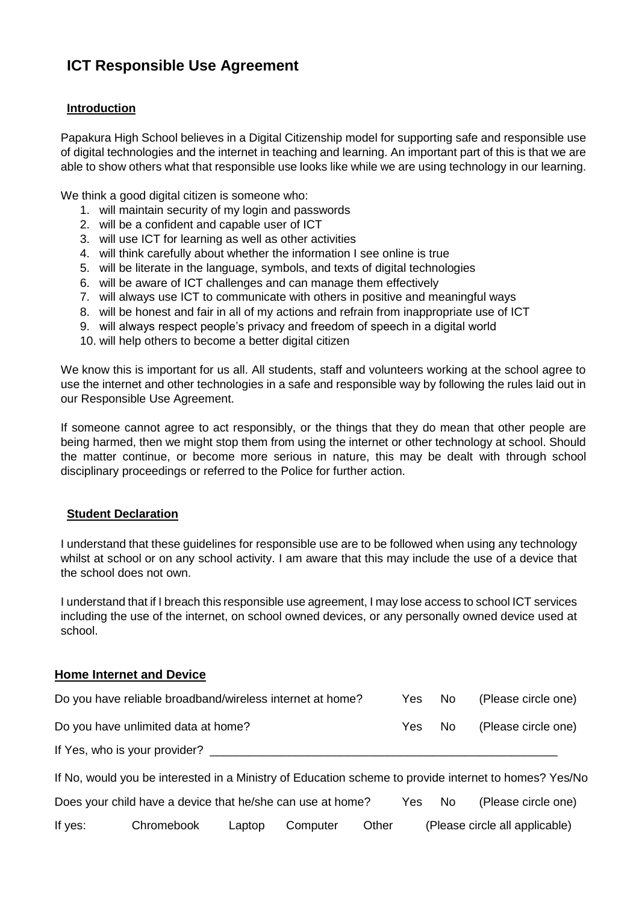# **ICT Responsible Use Agreement**

## **Introduction**

Papakura High School believes in a Digital Citizenship model for supporting safe and responsible use of digital technologies and the internet in teaching and learning. An important part of this is that we are able to show others what that responsible use looks like while we are using technology in our learning.

We think a good digital citizen is someone who:

- 1. will maintain security of my login and passwords
- 2. will be a confident and capable user of ICT
- 3. will use ICT for learning as well as other activities
- 4. will think carefully about whether the information I see online is true
- 5. will be literate in the language, symbols, and texts of digital technologies
- 6. will be aware of ICT challenges and can manage them effectively
- 7. will always use ICT to communicate with others in positive and meaningful ways
- 8. will be honest and fair in all of my actions and refrain from inappropriate use of ICT
- 9. will always respect people's privacy and freedom of speech in a digital world
- 10. will help others to become a better digital citizen

We know this is important for us all. All students, staff and volunteers working at the school agree to use the internet and other technologies in a safe and responsible way by following the rules laid out in our Responsible Use Agreement.

If someone cannot agree to act responsibly, or the things that they do mean that other people are being harmed, then we might stop them from using the internet or other technology at school. Should the matter continue, or become more serious in nature, this may be dealt with through school disciplinary proceedings or referred to the Police for further action.

#### **Student Declaration**

I understand that these guidelines for responsible use are to be followed when using any technology whilst at school or on any school activity. I am aware that this may include the use of a device that the school does not own.

I understand that if I breach this responsible use agreement, I may lose access to school ICT services including the use of the internet, on school owned devices, or any personally owned device used at school.

#### **Home Internet and Device**

| Do you have reliable broadband/wireless internet at home? | Yes  | No. | (Please circle one) |
|-----------------------------------------------------------|------|-----|---------------------|
| Do you have unlimited data at home?                       | Yes. | No. | (Please circle one) |
| If Yes, who is your provider?                             |      |     |                     |

If No, would you be interested in a Ministry of Education scheme to provide internet to homes? Yes/No

|         | Does your child have a device that he/she can use at home? |        |          |       | Yes                            | - No | (Please circle one) |
|---------|------------------------------------------------------------|--------|----------|-------|--------------------------------|------|---------------------|
| If yes: | Chromebook                                                 | Laptop | Computer | Other | (Please circle all applicable) |      |                     |